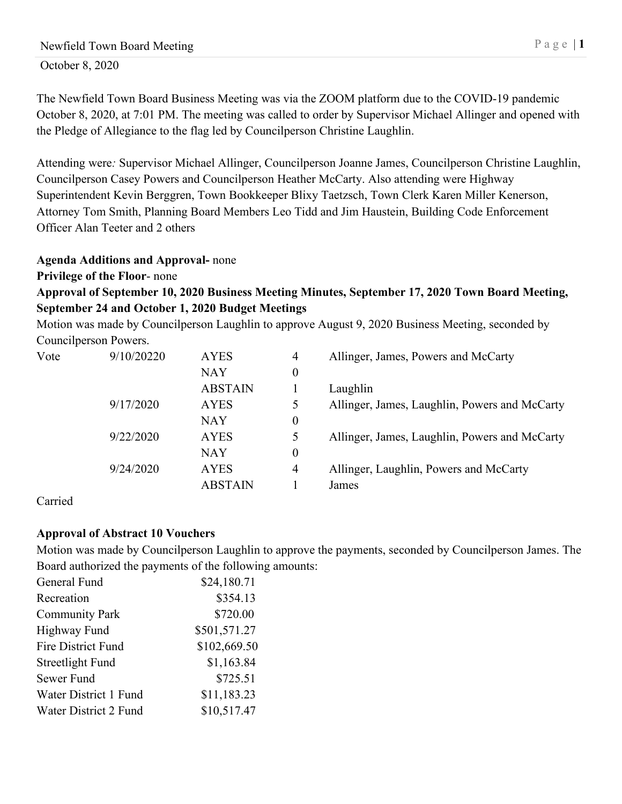# Newfield Town Board Meeting P a g e | 1

October 8, 2020

The Newfield Town Board Business Meeting was via the ZOOM platform due to the COVID-19 pandemic October 8, 2020, at 7:01 PM. The meeting was called to order by Supervisor Michael Allinger and opened with the Pledge of Allegiance to the flag led by Councilperson Christine Laughlin.

Attending were*:* Supervisor Michael Allinger, Councilperson Joanne James, Councilperson Christine Laughlin, Councilperson Casey Powers and Councilperson Heather McCarty. Also attending were Highway Superintendent Kevin Berggren, Town Bookkeeper Blixy Taetzsch, Town Clerk Karen Miller Kenerson, Attorney Tom Smith, Planning Board Members Leo Tidd and Jim Haustein, Building Code Enforcement Officer Alan Teeter and 2 others

## **Agenda Additions and Approval-** none

## **Privilege of the Floor**- none

# **Approval of September 10, 2020 Business Meeting Minutes, September 17, 2020 Town Board Meeting, September 24 and October 1, 2020 Budget Meetings**

Motion was made by Councilperson Laughlin to approve August 9, 2020 Business Meeting, seconded by Councilperson Powers.

| Vote | 9/10/20220 | <b>AYES</b>    | 4                | Allinger, James, Powers and McCarty           |
|------|------------|----------------|------------------|-----------------------------------------------|
|      |            | <b>NAY</b>     | $\boldsymbol{0}$ |                                               |
|      |            | <b>ABSTAIN</b> |                  | Laughlin                                      |
|      | 9/17/2020  | <b>AYES</b>    | 5                | Allinger, James, Laughlin, Powers and McCarty |
|      |            | NAY            | $\boldsymbol{0}$ |                                               |
|      | 9/22/2020  | <b>AYES</b>    | 5                | Allinger, James, Laughlin, Powers and McCarty |
|      |            | <b>NAY</b>     | $\boldsymbol{0}$ |                                               |
|      | 9/24/2020  | <b>AYES</b>    | 4                | Allinger, Laughlin, Powers and McCarty        |
|      |            | <b>ABSTAIN</b> |                  | James                                         |

#### Carried

## **Approval of Abstract 10 Vouchers**

Motion was made by Councilperson Laughlin to approve the payments, seconded by Councilperson James. The Board authorized the payments of the following amounts:

| General Fund              | \$24,180.71  |
|---------------------------|--------------|
| Recreation                | \$354.13     |
| <b>Community Park</b>     | \$720.00     |
| <b>Highway Fund</b>       | \$501,571.27 |
| <b>Fire District Fund</b> | \$102,669.50 |
| Streetlight Fund          | \$1,163.84   |
| Sewer Fund                | \$725.51     |
| Water District 1 Fund     | \$11,183.23  |
| Water District 2 Fund     | \$10,517.47  |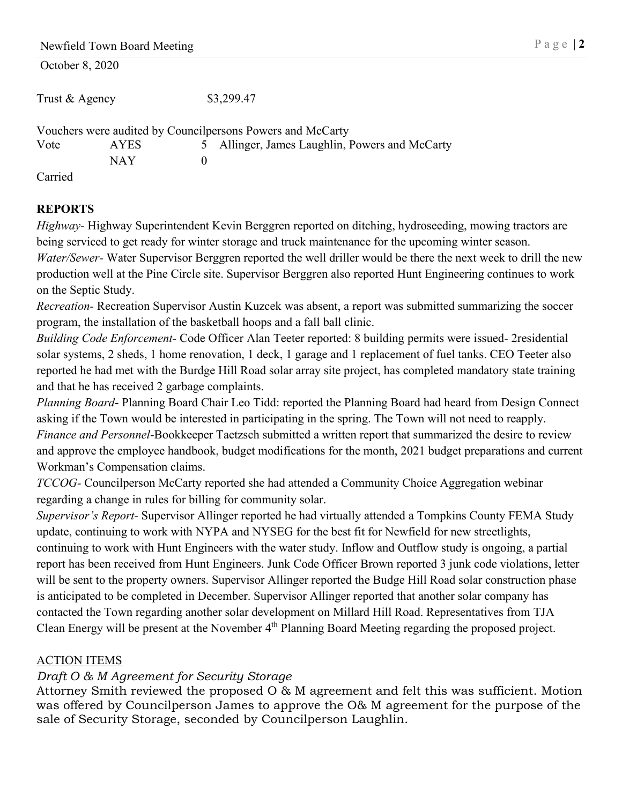Newfield Town Board Meeting P a g e | 2

Trust & Agency \$3,299.47

Vouchers were audited by Councilpersons Powers and McCarty Vote AYES 5 Allinger, James Laughlin, Powers and McCarty NAY 0

Carried

# **REPORTS**

*Highway-* Highway Superintendent Kevin Berggren reported on ditching, hydroseeding, mowing tractors are being serviced to get ready for winter storage and truck maintenance for the upcoming winter season. *Water/Sewer-* Water Supervisor Berggren reported the well driller would be there the next week to drill the new production well at the Pine Circle site. Supervisor Berggren also reported Hunt Engineering continues to work on the Septic Study.

*Recreation-* Recreation Supervisor Austin Kuzcek was absent, a report was submitted summarizing the soccer program, the installation of the basketball hoops and a fall ball clinic.

*Building Code Enforcement-* Code Officer Alan Teeter reported: 8 building permits were issued- 2residential solar systems, 2 sheds, 1 home renovation, 1 deck, 1 garage and 1 replacement of fuel tanks. CEO Teeter also reported he had met with the Burdge Hill Road solar array site project, has completed mandatory state training and that he has received 2 garbage complaints.

*Planning Board*- Planning Board Chair Leo Tidd: reported the Planning Board had heard from Design Connect asking if the Town would be interested in participating in the spring. The Town will not need to reapply. *Finance and Personnel*-Bookkeeper Taetzsch submitted a written report that summarized the desire to review and approve the employee handbook, budget modifications for the month, 2021 budget preparations and current Workman's Compensation claims.

*TCCOG-* Councilperson McCarty reported she had attended a Community Choice Aggregation webinar regarding a change in rules for billing for community solar.

*Supervisor's Report-* Supervisor Allinger reported he had virtually attended a Tompkins County FEMA Study update, continuing to work with NYPA and NYSEG for the best fit for Newfield for new streetlights, continuing to work with Hunt Engineers with the water study. Inflow and Outflow study is ongoing, a partial report has been received from Hunt Engineers. Junk Code Officer Brown reported 3 junk code violations, letter will be sent to the property owners. Supervisor Allinger reported the Budge Hill Road solar construction phase is anticipated to be completed in December. Supervisor Allinger reported that another solar company has contacted the Town regarding another solar development on Millard Hill Road. Representatives from TJA Clean Energy will be present at the November 4<sup>th</sup> Planning Board Meeting regarding the proposed project.

# ACTION ITEMS

# *Draft O & M Agreement for Security Storage*

Attorney Smith reviewed the proposed O & M agreement and felt this was sufficient. Motion was offered by Councilperson James to approve the O& M agreement for the purpose of the sale of Security Storage, seconded by Councilperson Laughlin.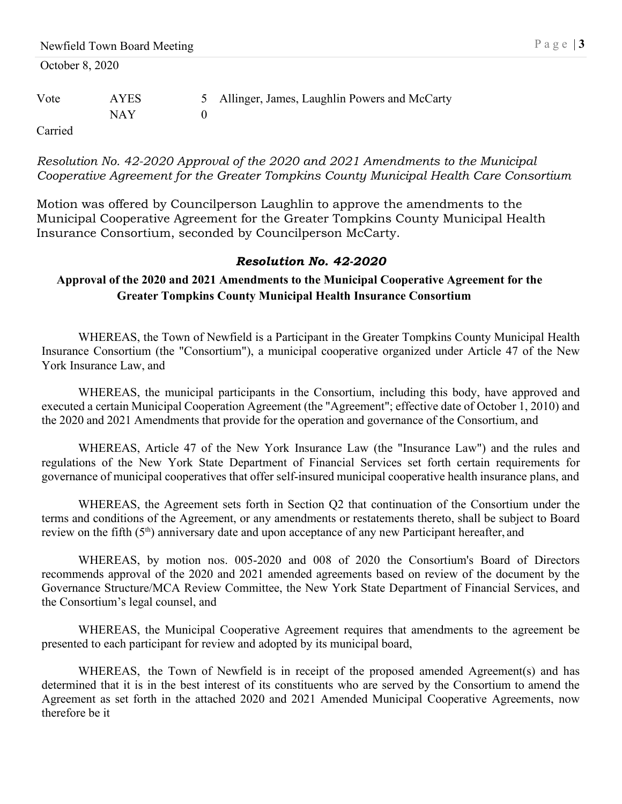|                 | Newfield Town Board Meeting |       |                                              | Page   $3$ |
|-----------------|-----------------------------|-------|----------------------------------------------|------------|
| October 8, 2020 |                             |       |                                              |            |
| Vote            | <b>AYES</b>                 | $5 -$ | Allinger, James, Laughlin Powers and McCarty |            |
|                 | <b>NAY</b>                  |       |                                              |            |
| Carried         |                             |       |                                              |            |

*Resolution No. 42-2020 Approval of the 2020 and 2021 Amendments to the Municipal Cooperative Agreement for the Greater Tompkins County Municipal Health Care Consortium* 

Motion was offered by Councilperson Laughlin to approve the amendments to the Municipal Cooperative Agreement for the Greater Tompkins County Municipal Health Insurance Consortium, seconded by Councilperson McCarty.

#### *Resolution No. 42-2020*

**Approval of the 2020 and 2021 Amendments to the Municipal Cooperative Agreement for the Greater Tompkins County Municipal Health Insurance Consortium**

WHEREAS, the Town of Newfield is a Participant in the Greater Tompkins County Municipal Health Insurance Consortium (the "Consortium"), a municipal cooperative organized under Article 47 of the New York Insurance Law, and

WHEREAS, the municipal participants in the Consortium, including this body, have approved and executed a certain Municipal Cooperation Agreement (the "Agreement"; effective date of October 1, 2010) and the 2020 and 2021 Amendments that provide for the operation and governance of the Consortium, and

WHEREAS, Article 47 of the New York Insurance Law (the "Insurance Law") and the rules and regulations of the New York State Department of Financial Services set forth certain requirements for governance of municipal cooperatives that offer self-insured municipal cooperative health insurance plans, and

WHEREAS, the Agreement sets forth in Section Q2 that continuation of the Consortium under the terms and conditions of the Agreement, or any amendments or restatements thereto, shall be subject to Board review on the fifth (5<sup>th</sup>) anniversary date and upon acceptance of any new Participant hereafter, and

WHEREAS, by motion nos. 005-2020 and 008 of 2020 the Consortium's Board of Directors recommends approval of the 2020 and 2021 amended agreements based on review of the document by the Governance Structure/MCA Review Committee, the New York State Department of Financial Services, and the Consortium's legal counsel, and

WHEREAS, the Municipal Cooperative Agreement requires that amendments to the agreement be presented to each participant for review and adopted by its municipal board,

WHEREAS, the Town of Newfield is in receipt of the proposed amended Agreement(s) and has determined that it is in the best interest of its constituents who are served by the Consortium to amend the Agreement as set forth in the attached 2020 and 2021 Amended Municipal Cooperative Agreements, now therefore be it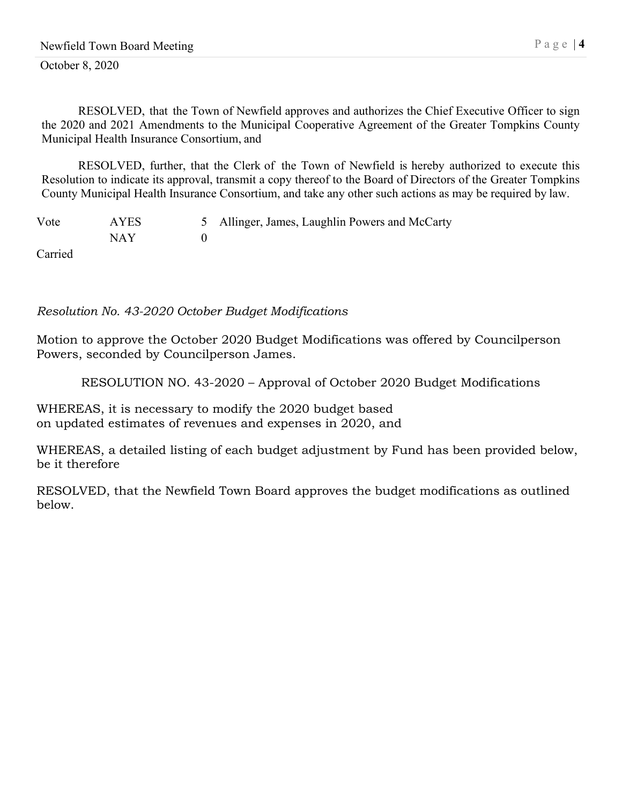RESOLVED, that the Town of Newfield approves and authorizes the Chief Executive Officer to sign the 2020 and 2021 Amendments to the Municipal Cooperative Agreement of the Greater Tompkins County Municipal Health Insurance Consortium, and

RESOLVED, further, that the Clerk of the Town of Newfield is hereby authorized to execute this Resolution to indicate its approval, transmit a copy thereof to the Board of Directors of the Greater Tompkins County Municipal Health Insurance Consortium, and take any other such actions as may be required by law.

| Vote                      | <b>AYES</b> | 5 Allinger, James, Laughlin Powers and McCarty |
|---------------------------|-------------|------------------------------------------------|
|                           | NAY         |                                                |
| $C_{\alpha \text{triad}}$ |             |                                                |

Carried

*Resolution No. 43-2020 October Budget Modifications*

Motion to approve the October 2020 Budget Modifications was offered by Councilperson Powers, seconded by Councilperson James.

RESOLUTION NO. 43-2020 – Approval of October 2020 Budget Modifications

WHEREAS, it is necessary to modify the 2020 budget based on updated estimates of revenues and expenses in 2020, and

WHEREAS, a detailed listing of each budget adjustment by Fund has been provided below, be it therefore

RESOLVED, that the Newfield Town Board approves the budget modifications as outlined below.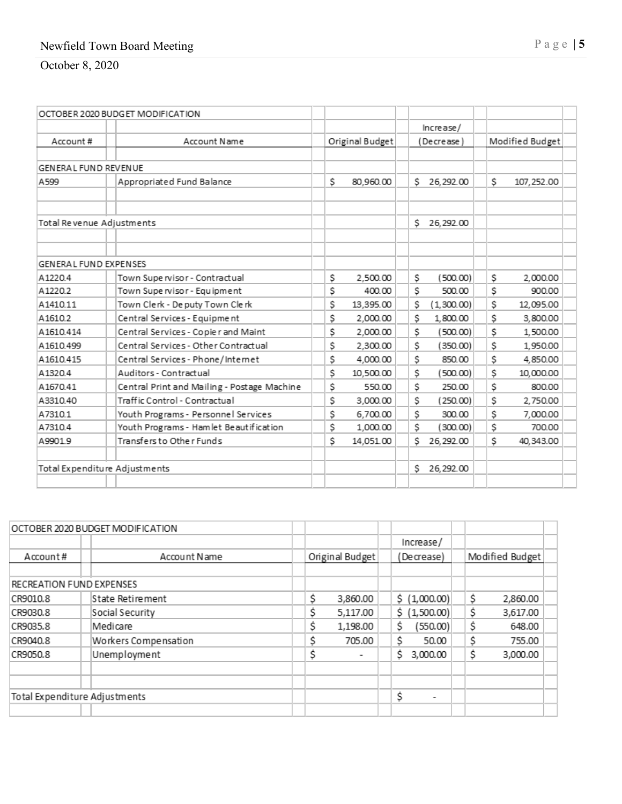## Newfield Town Board Meeting Page |

October 8, 202 0

|                              | OCTOBER 2020 BUDGET MODIFICATION            |                 |                   |                   |
|------------------------------|---------------------------------------------|-----------------|-------------------|-------------------|
|                              |                                             |                 | Increase/         |                   |
| Account#                     | Account Name                                | Original Budget | (Decrease)        | Modified Budget   |
|                              |                                             |                 |                   |                   |
| <b>GENERAL FUND REVENUE</b>  |                                             |                 |                   |                   |
| A599                         | Appropriated Fund Balance                   | \$<br>80,960.00 | S.<br>26, 292.00  | \$<br>107, 252.00 |
|                              |                                             |                 |                   |                   |
| Total Revenue Adjustments    |                                             |                 | Ś.<br>26, 292.00  |                   |
|                              |                                             |                 |                   |                   |
| <b>GENERAL FUND EXPENSES</b> |                                             |                 |                   |                   |
| A1220.4                      | Town Supe rvisor - Contractual              | \$<br>2,500.00  | \$.<br>(500.00)   | \$<br>2,000.00    |
| A1220.2                      | Town Supe rvisor - Equipment                | \$<br>400.00    | \$<br>500.00      | \$<br>900.00      |
| A1410.11                     | Town Clerk - De puty Town Clerk             | \$<br>13,395.00 | \$<br>(1,300.00)  | \$<br>12.095.00   |
| A1610.2                      | Central Services - Equipment                | \$<br>2,000.00  | \$<br>1,800.00    | \$<br>3,800.00    |
| A1610.414                    | Central Services - Copier and Maint         | \$<br>2,000.00  | \$<br>(500.00)    | \$<br>1,500.00    |
| A1610.499                    | Central Services - Other Contractual        | \$<br>2,300.00  | \$<br>(350.00)    | \$<br>1,950.00    |
| A1610.415                    | Central Services - Phone/Internet           | \$<br>4.000.00  | \$<br>850.00      | \$<br>4,850.00    |
| A1320.4                      | Auditors - Contractual                      | \$<br>10,500.00 | \$<br>(500.00)    | \$<br>10,000.00   |
| A1670.41                     | Central Print and Mailing - Postage Machine | \$<br>550.00    | \$<br>250.00      | \$<br>800.00      |
| A3310.40                     | Traffic Control - Contractual               | \$<br>3,000.00  | Ś.<br>(250.00)    | \$<br>2,750.00    |
| A7310.1                      | Youth Programs - Personnel Services         | \$<br>6,700.00  | \$<br>300.00      | \$<br>7,000.00    |
| A73104                       | Youth Programs - Hamlet Beautification      | \$<br>1,000.00  | \$.<br>(300.00)   | \$<br>700.00      |
| A9901.9                      | Transfers to Other Funds                    | \$<br>14,051.00 | Ś.<br>26, 292, 00 | \$<br>40.343.00   |
|                              | Total Expenditure Adjustments               |                 | Ś.<br>26, 292.00  |                   |
|                              |                                             |                 |                   |                   |

|                               |  | OCTOBER 2020 BUDGET MODIFICATION |    |                 |   |                          |    |                 |  |
|-------------------------------|--|----------------------------------|----|-----------------|---|--------------------------|----|-----------------|--|
|                               |  |                                  |    |                 |   | Increase/                |    |                 |  |
| Account#                      |  | Account Name                     |    | Original Budget |   | (Decrease)               |    | Modified Budget |  |
|                               |  |                                  |    |                 |   |                          |    |                 |  |
| RECREATION FUND EXPENSES      |  |                                  |    |                 |   |                          |    |                 |  |
| CR9010.8                      |  | State Retirement                 | Ś  | 3,860.00        |   | \$(1,000.00)             | \$ | 2,860.00        |  |
| CR9030.8                      |  | Social Security                  | \$ | 5,117.00        |   | \$(1,500.00)             | \$ | 3,617.00        |  |
| CR9035.8                      |  | Medicare                         | Ś  | 1,198.00        | S | (550.00)                 | Ś  | 648.00          |  |
| CR9040.8                      |  | Workers Compensation             | Ŝ  | 705.00          | Ś | 50.00                    | Ś  | 755.00          |  |
| CR9050.8                      |  | Unemployment                     | \$ |                 | S | 3,000.00                 | \$ | 3,000.00        |  |
|                               |  |                                  |    |                 |   |                          |    |                 |  |
|                               |  |                                  |    |                 |   |                          |    |                 |  |
| Total Expenditure Adjustments |  |                                  |    |                 | Ś | $\overline{\phantom{a}}$ |    |                 |  |
|                               |  |                                  |    |                 |   |                          |    |                 |  |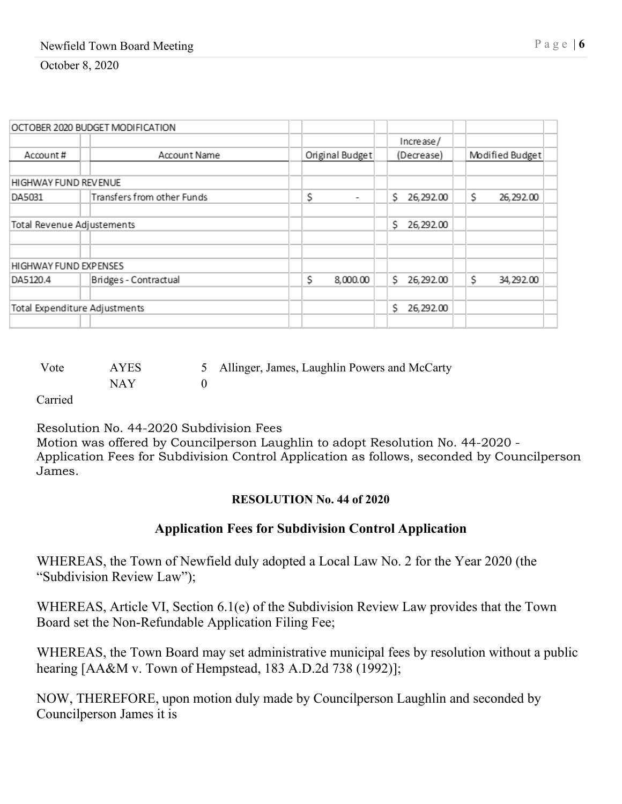| OCTOBER 2020 BUDGET MODIFICATION |  |                            |                                |                |                 |
|----------------------------------|--|----------------------------|--------------------------------|----------------|-----------------|
|                                  |  |                            |                                | Increase/      |                 |
| Account#                         |  | Account Name               | Original Budget                | (Decrease)     | Modified Budget |
|                                  |  |                            |                                |                |                 |
| HIGHWAY FUND REVENUE             |  |                            |                                |                |                 |
| DA5031                           |  | Transfers from other Funds | \$<br>$\overline{\phantom{a}}$ | 26,292.00<br>S | \$<br>26,292.00 |
|                                  |  |                            |                                |                |                 |
| Total Revenue Adjustements       |  |                            |                                | S<br>26,292.00 |                 |
|                                  |  |                            |                                |                |                 |
|                                  |  |                            |                                |                |                 |
| <b>HIGHWAY FUND EXPENSES</b>     |  |                            |                                |                |                 |
| DA5120.4                         |  | Bridges - Contractual      | \$<br>8,000.00                 | S<br>26,292.00 | S<br>34, 292.00 |
|                                  |  |                            |                                |                |                 |
| Total Expenditure Adjustments    |  |                            |                                | 26,292.00<br>S |                 |
|                                  |  |                            |                                |                |                 |

| Vote    | <b>AYES</b> | 5 Allinger, James, Laughlin Powers and McCarty |
|---------|-------------|------------------------------------------------|
|         | NAY         |                                                |
| Carried |             |                                                |

Resolution No. 44-2020 Subdivision Fees Motion was offered by Councilperson Laughlin to adopt Resolution No. 44-2020 - Application Fees for Subdivision Control Application as follows, seconded by Councilperson James.

## **RESOLUTION No. 44 of 2020**

# **Application Fees for Subdivision Control Application**

WHEREAS, the Town of Newfield duly adopted a Local Law No. 2 for the Year 2020 (the "Subdivision Review Law");

WHEREAS, Article VI, Section 6.1(e) of the Subdivision Review Law provides that the Town Board set the Non-Refundable Application Filing Fee;

WHEREAS, the Town Board may set administrative municipal fees by resolution without a public hearing [AA&M v. Town of Hempstead, 183 A.D.2d 738 (1992)];

NOW, THEREFORE, upon motion duly made by Councilperson Laughlin and seconded by Councilperson James it is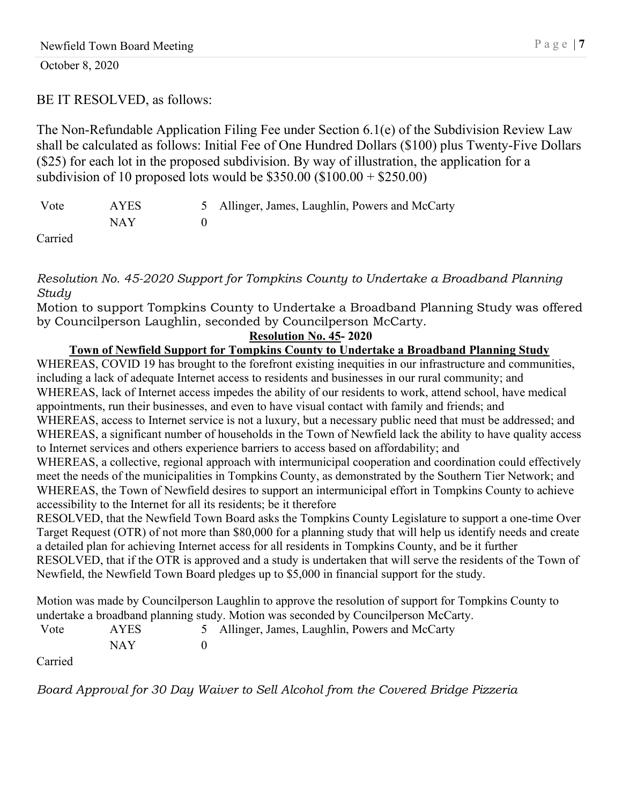# BE IT RESOLVED, as follows:

The Non-Refundable Application Filing Fee under Section 6.1(e) of the Subdivision Review Law shall be calculated as follows: Initial Fee of One Hundred Dollars (\$100) plus Twenty-Five Dollars (\$25) for each lot in the proposed subdivision. By way of illustration, the application for a subdivision of 10 proposed lots would be  $$350.00$  (\$100.00 + \$250.00)

| Vote          | AYES | 5 Allinger, James, Laughlin, Powers and McCarty |
|---------------|------|-------------------------------------------------|
|               | NAY  |                                                 |
| $\sim$ $\sim$ |      |                                                 |

Carried

*Resolution No. 45-2020 Support for Tompkins County to Undertake a Broadband Planning Study*

Motion to support Tompkins County to Undertake a Broadband Planning Study was offered by Councilperson Laughlin, seconded by Councilperson McCarty.

## **Resolution No. 45- 2020**

# **Town of Newfield Support for Tompkins County to Undertake a Broadband Planning Study**

WHEREAS, COVID 19 has brought to the forefront existing inequities in our infrastructure and communities, including a lack of adequate Internet access to residents and businesses in our rural community; and WHEREAS, lack of Internet access impedes the ability of our residents to work, attend school, have medical appointments, run their businesses, and even to have visual contact with family and friends; and WHEREAS, access to Internet service is not a luxury, but a necessary public need that must be addressed; and WHEREAS, a significant number of households in the Town of Newfield lack the ability to have quality access to Internet services and others experience barriers to access based on affordability; and WHEREAS, a collective, regional approach with intermunicipal cooperation and coordination could effectively meet the needs of the municipalities in Tompkins County, as demonstrated by the Southern Tier Network; and

WHEREAS, the Town of Newfield desires to support an intermunicipal effort in Tompkins County to achieve accessibility to the Internet for all its residents; be it therefore

RESOLVED, that the Newfield Town Board asks the Tompkins County Legislature to support a one-time Over Target Request (OTR) of not more than \$80,000 for a planning study that will help us identify needs and create a detailed plan for achieving Internet access for all residents in Tompkins County, and be it further RESOLVED, that if the OTR is approved and a study is undertaken that will serve the residents of the Town of Newfield, the Newfield Town Board pledges up to \$5,000 in financial support for the study.

Motion was made by Councilperson Laughlin to approve the resolution of support for Tompkins County to undertake a broadband planning study. Motion was seconded by Councilperson McCarty.

| Vote          | AYES | 5 Allinger, James, Laughlin, Powers and McCarty |
|---------------|------|-------------------------------------------------|
|               | NAY  |                                                 |
| $\sim$ $\sim$ |      |                                                 |

Carried

*Board Approval for 30 Day Waiver to Sell Alcohol from the Covered Bridge Pizzeria*